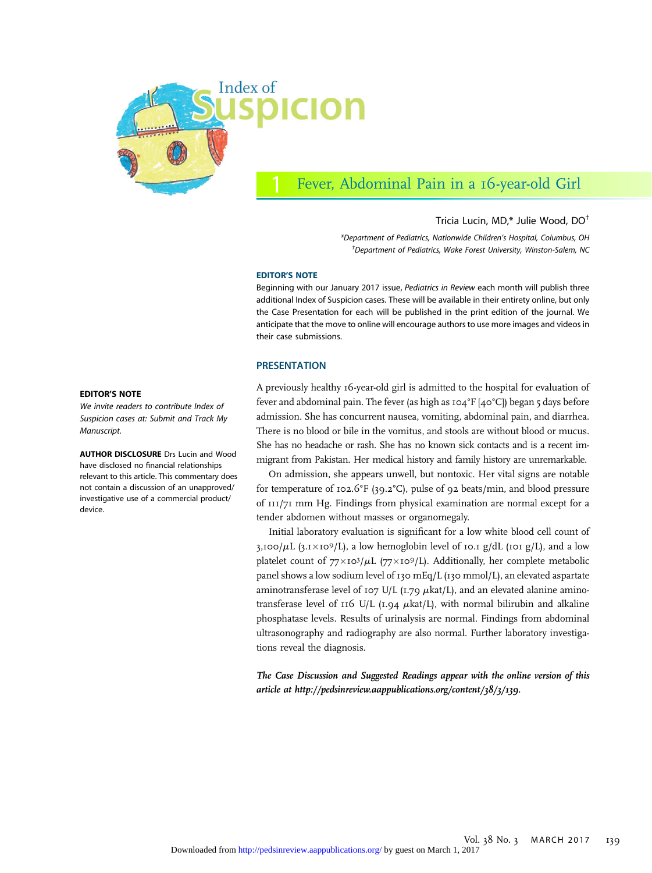

# Fever, Abdominal Pain in a 16-year-old Girl

### Tricia Lucin, MD,\* Julie Wood, DO†

\*Department of Pediatrics, Nationwide Children's Hospital, Columbus, OH † Department of Pediatrics, Wake Forest University, Winston-Salem, NC

#### EDITOR'S NOTE

Beginning with our January 2017 issue, Pediatrics in Review each month will publish three additional Index of Suspicion cases. These will be available in their entirety online, but only the Case Presentation for each will be published in the print edition of the journal. We anticipate that the move to online will encourage authors to use more images and videos in their case submissions.

#### PRESENTATION

A previously healthy 16-year-old girl is admitted to the hospital for evaluation of fever and abdominal pain. The fever (as high as 104°F [40°C]) began 5 days before admission. She has concurrent nausea, vomiting, abdominal pain, and diarrhea. There is no blood or bile in the vomitus, and stools are without blood or mucus. She has no headache or rash. She has no known sick contacts and is a recent immigrant from Pakistan. Her medical history and family history are unremarkable.

On admission, she appears unwell, but nontoxic. Her vital signs are notable for temperature of 102.6°F (39.2°C), pulse of 92 beats/min, and blood pressure of 111/71 mm Hg. Findings from physical examination are normal except for a tender abdomen without masses or organomegaly.

Initial laboratory evaluation is significant for a low white blood cell count of 3,100/ $\mu$ L (3.1×10<sup>9</sup>/L), a low hemoglobin level of 10.1 g/dL (101 g/L), and a low platelet count of  $77\times10^3/\mu$ L (77 $\times10^9/\text{L}$ ). Additionally, her complete metabolic panel shows a low sodium level of 130 mEq/L (130 mmol/L), an elevated aspartate aminotransferase level of 107 U/L (1.79  $\mu$ kat/L), and an elevated alanine aminotransferase level of  $I(6 U/L (I.94 \mu \text{kat/L})$ , with normal bilirubin and alkaline phosphatase levels. Results of urinalysis are normal. Findings from abdominal ultrasonography and radiography are also normal. Further laboratory investigations reveal the diagnosis.

The Case Discussion and Suggested Readings appear with the online version of this article at<http://pedsinreview.aappublications.org/content/38/3/139>.

#### EDITOR'S NOTE

We invite readers to contribute Index of Suspicion cases at: Submit and Track My Manuscript.

AUTHOR DISCLOSURE Drs Lucin and Wood have disclosed no financial relationships relevant to this article. This commentary does not contain a discussion of an unapproved/ investigative use of a commercial product/ device.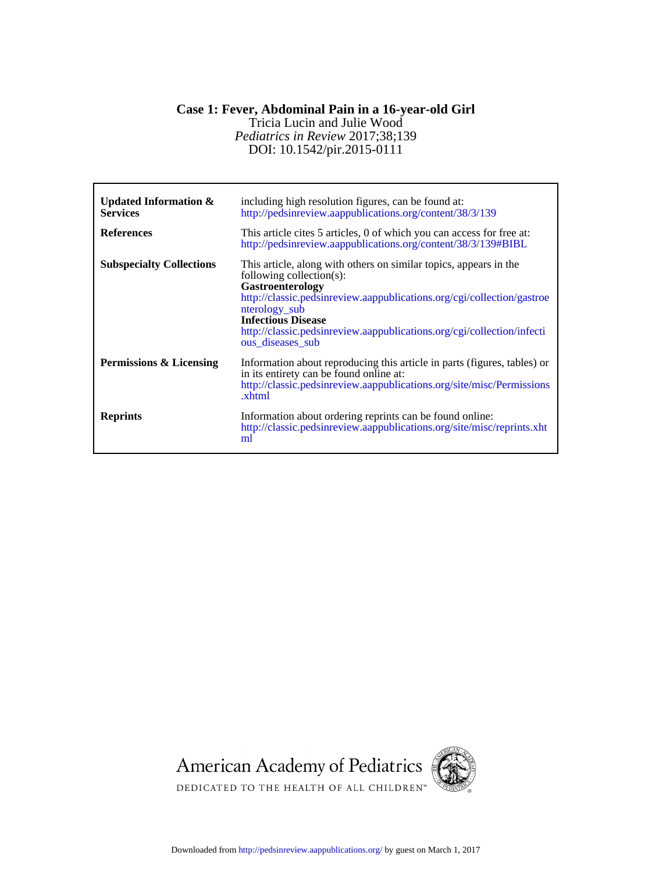## DOI: 10.1542/pir.2015-0111 *Pediatrics in Review* 2017;38;139 Tricia Lucin and Julie Wood **Case 1: Fever, Abdominal Pain in a 16-year-old Girl**

| <b>Updated Information &amp;</b><br><b>Services</b><br><b>References</b> | including high resolution figures, can be found at:<br>http://pedsinreview.aappublications.org/content/38/3/139<br>This article cites 5 articles, 0 of which you can access for free at:<br>http://pedsinreview.aappublications.org/content/38/3/139#BIBL                                                                                      |
|--------------------------------------------------------------------------|------------------------------------------------------------------------------------------------------------------------------------------------------------------------------------------------------------------------------------------------------------------------------------------------------------------------------------------------|
| <b>Subspecialty Collections</b>                                          | This article, along with others on similar topics, appears in the<br>following collection(s):<br><b>Gastroenterology</b><br>http://classic.pedsinreview.aappublications.org/cgi/collection/gastroe<br>nterology_sub<br><b>Infectious Disease</b><br>http://classic.pedsinreview.aappublications.org/cgi/collection/infecti<br>ous diseases sub |
| Permissions & Licensing                                                  | Information about reproducing this article in parts (figures, tables) or<br>in its entirety can be found online at:<br>http://classic.pedsinreview.aappublications.org/site/misc/Permissions<br>.xhtml                                                                                                                                         |
| <b>Reprints</b>                                                          | Information about ordering reprints can be found online:<br>http://classic.pedsinreview.aappublications.org/site/misc/reprints.xht<br>ml                                                                                                                                                                                                       |